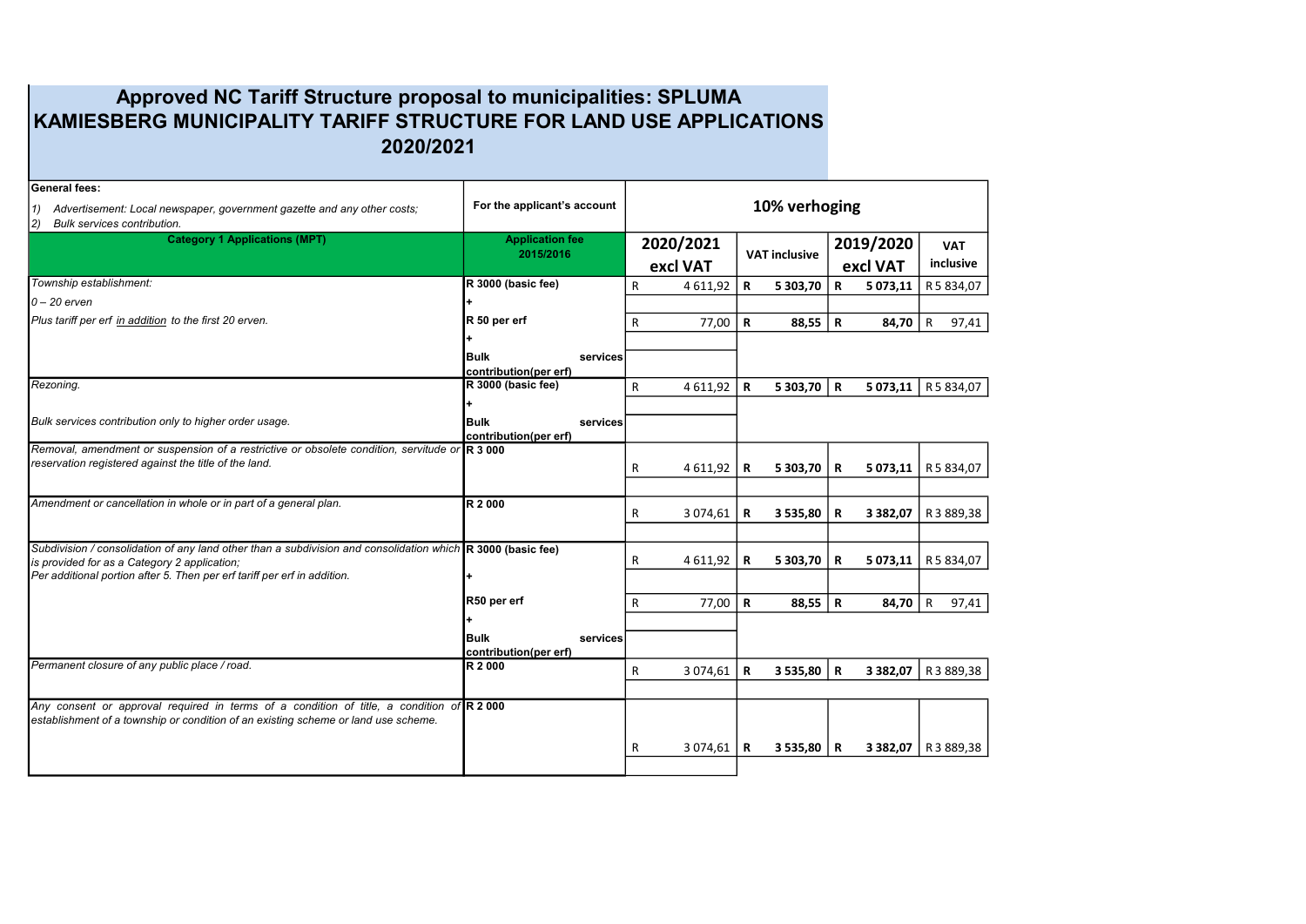## Approved NC Tariff Structure proposal to municipalities: SPLUMA KAMIESBERG MUNICIPALITY TARIFF STRUCTURE FOR LAND USE APPLICATIONS 2020/2021

| <b>General fees:</b><br>Advertisement: Local newspaper, government gazette and any other costs;<br>1)                                                                 | For the applicant's account |  | 10% verhoging            |             |                      |             |               |                       |
|-----------------------------------------------------------------------------------------------------------------------------------------------------------------------|-----------------------------|--|--------------------------|-------------|----------------------|-------------|---------------|-----------------------|
| 2)<br>Bulk services contribution.                                                                                                                                     |                             |  |                          |             |                      |             |               |                       |
| <b>Category 1 Applications (MPT)</b>                                                                                                                                  | <b>Application fee</b>      |  | 2020/2021                |             |                      |             | 2019/2020     | <b>VAT</b>            |
|                                                                                                                                                                       | 2015/2016                   |  | excl VAT                 |             | <b>VAT inclusive</b> |             | excl VAT      | inclusive             |
|                                                                                                                                                                       |                             |  |                          |             |                      |             |               |                       |
| Township establishment:                                                                                                                                               | R 3000 (basic fee)          |  | R<br>4 611,92            | R           | 5 303,70             | $\mathbf R$ | 5 073,11      | R 5 834,07            |
| $0 - 20$ erven                                                                                                                                                        |                             |  |                          |             |                      |             |               |                       |
| Plus tariff per erf in addition to the first 20 erven.                                                                                                                | R 50 per erf                |  | 77,00<br>R               | $\mathbf R$ | 88,55                | $\mathbf R$ | 84,70         | $\mathsf{R}$<br>97,41 |
|                                                                                                                                                                       | ÷                           |  |                          |             |                      |             |               |                       |
|                                                                                                                                                                       | <b>Bulk</b><br>services     |  |                          |             |                      |             |               |                       |
|                                                                                                                                                                       | contribution(per erf)       |  |                          |             |                      |             |               |                       |
| Rezoning.                                                                                                                                                             | R 3000 (basic fee)          |  | $\mathsf{R}$<br>4 611,92 | $\mathbf R$ | 5 303,70             | $\mathbf R$ | 5 073,11      | R 5 834,07            |
|                                                                                                                                                                       | l+                          |  |                          |             |                      |             |               |                       |
| Bulk services contribution only to higher order usage.                                                                                                                | <b>Bulk</b><br>services     |  |                          |             |                      |             |               |                       |
|                                                                                                                                                                       | contribution(per erf)       |  |                          |             |                      |             |               |                       |
| Removal, amendment or suspension of a restrictive or obsolete condition, servitude or R 3 000                                                                         |                             |  |                          |             |                      |             |               |                       |
| reservation registered against the title of the land.                                                                                                                 |                             |  | 4 611,92<br>R            | R           | 5 303,70             | R           | 5 073,11      | R 5 834,07            |
|                                                                                                                                                                       |                             |  |                          |             |                      |             |               |                       |
| Amendment or cancellation in whole or in part of a general plan.                                                                                                      | R 2 000                     |  |                          |             |                      |             |               |                       |
|                                                                                                                                                                       |                             |  | 3 074,61<br>R            | R           | 3 535,80             | R           | 3 3 8 2 , 0 7 | R 3 889,38            |
|                                                                                                                                                                       |                             |  |                          |             |                      |             |               |                       |
| Subdivision / consolidation of any land other than a subdivision and consolidation which $\mathbb R$ 3000 (basic fee)<br>is provided for as a Category 2 application; |                             |  | 4 611,92<br>R            | R           | 5 303,70             | R           | 5 073,11      | R 5 834,07            |
| Per additional portion after 5. Then per erf tariff per erf in addition.                                                                                              | l÷.                         |  |                          |             |                      |             |               |                       |
|                                                                                                                                                                       |                             |  |                          |             |                      |             |               |                       |
|                                                                                                                                                                       | R50 per erf                 |  | R<br>77,00               | $\mathbf R$ | 88,55                | $\mathbf R$ | 84,70         | $\mathsf{R}$<br>97,41 |
|                                                                                                                                                                       |                             |  |                          |             |                      |             |               |                       |
|                                                                                                                                                                       | <b>Bulk</b><br>services     |  |                          |             |                      |             |               |                       |
|                                                                                                                                                                       | contribution(per erf)       |  |                          |             |                      |             |               |                       |
| Permanent closure of any public place / road.                                                                                                                         | R 2 000                     |  | R<br>3 074,61            | $\mathbf R$ | 3 535,80             | $\mathbf R$ | 3 3 8 2 , 0 7 | R3889,38              |
|                                                                                                                                                                       |                             |  |                          |             |                      |             |               |                       |
| Any consent or approval required in terms of a condition of title, a condition of $R$ 2000                                                                            |                             |  |                          |             |                      |             |               |                       |
| establishment of a township or condition of an existing scheme or land use scheme.                                                                                    |                             |  |                          |             |                      |             |               |                       |
|                                                                                                                                                                       |                             |  |                          |             |                      |             |               |                       |
|                                                                                                                                                                       |                             |  | R<br>3 074,61            | R           | $3535,80$ R          |             |               | 3 382,07   R 3 889,38 |
|                                                                                                                                                                       |                             |  |                          |             |                      |             |               |                       |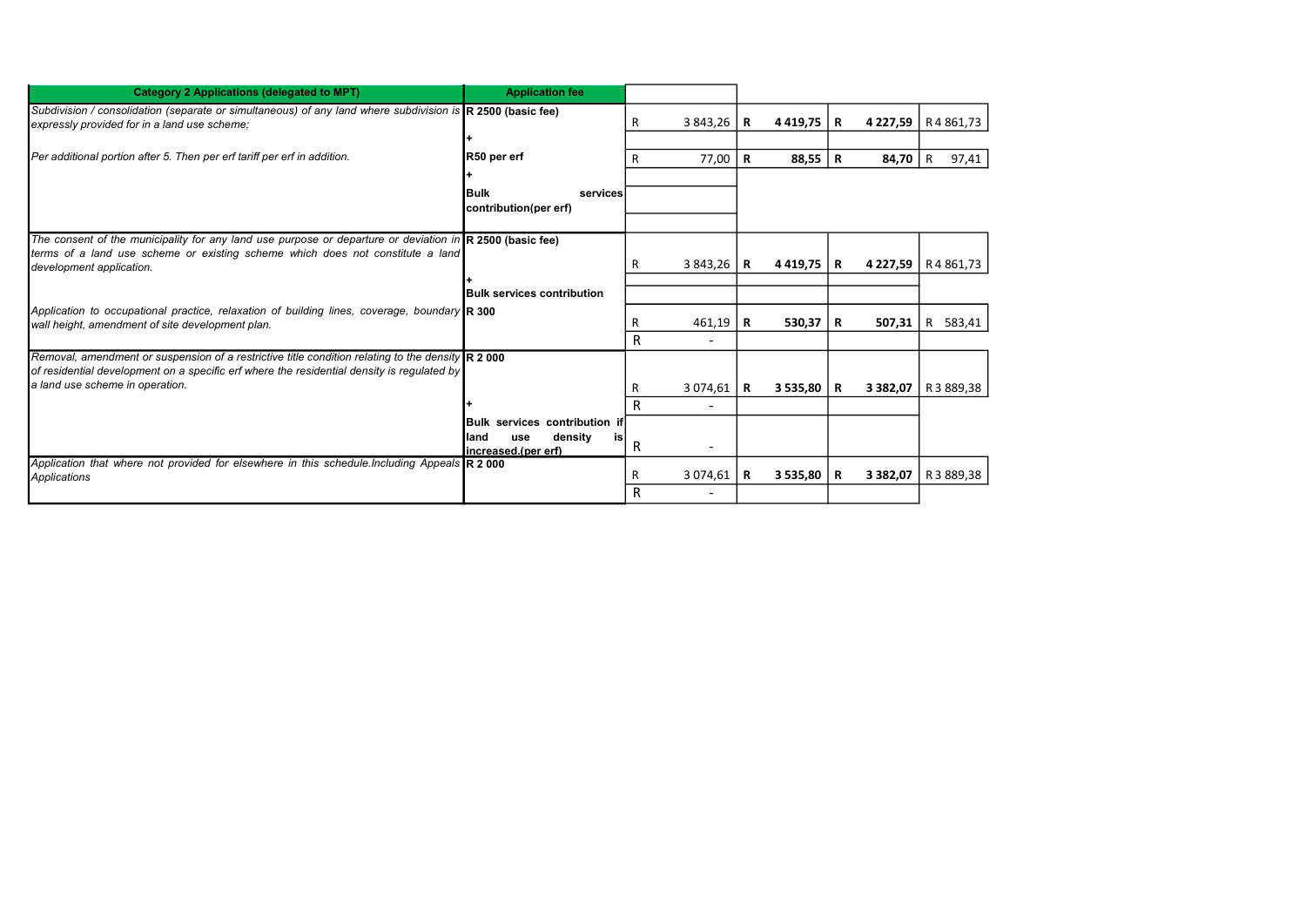| <b>Category 2 Applications (delegated to MPT)</b>                                                                                                                                                                                             | <b>Application fee</b>                                       |   |          |   |               |   |               |              |
|-----------------------------------------------------------------------------------------------------------------------------------------------------------------------------------------------------------------------------------------------|--------------------------------------------------------------|---|----------|---|---------------|---|---------------|--------------|
| Subdivision / consolidation (separate or simultaneous) of any land where subdivision is $\mathbb R$ 2500 (basic fee)<br>expressly provided for in a land use scheme:                                                                          |                                                              | R | 3 843,26 | R | 4 4 1 9 . 7 5 | R | 4 227,59      | R4861,73     |
|                                                                                                                                                                                                                                               |                                                              |   |          |   |               |   |               |              |
| Per additional portion after 5. Then per erf tariff per erf in addition.                                                                                                                                                                      | R50 per erf                                                  | R | 77,00    | R | $88,55$   R   |   | 84,70         | 97,41<br>R   |
|                                                                                                                                                                                                                                               |                                                              |   |          |   |               |   |               |              |
|                                                                                                                                                                                                                                               | <b>Bulk</b><br>services<br>Icontribution(per erf)            |   |          |   |               |   |               |              |
|                                                                                                                                                                                                                                               |                                                              |   |          |   |               |   |               |              |
| The consent of the municipality for any land use purpose or departure or deviation in $\mathbb R$ 2500 (basic fee)<br>terms of a land use scheme or existing scheme which does not constitute a land                                          |                                                              |   |          |   |               |   |               |              |
| development application.                                                                                                                                                                                                                      |                                                              | R | 3 843,26 | R | 4 4 19.75     | R | 4 227,59      | R4861,73     |
|                                                                                                                                                                                                                                               |                                                              |   |          |   |               |   |               |              |
|                                                                                                                                                                                                                                               | <b>Bulk services contribution</b>                            |   |          |   |               |   |               |              |
| Application to occupational practice, relaxation of building lines, coverage, boundary R 300<br>wall height, amendment of site development plan.                                                                                              |                                                              |   | 461,19   | R | 530,37        | R | 507,31        | 583,41<br>R. |
|                                                                                                                                                                                                                                               |                                                              | R |          |   |               |   |               |              |
| Removal, amendment or suspension of a restrictive title condition relating to the density $\mathbb{R}$ 2 000<br>of residential development on a specific erf where the residential density is requiated by<br>a land use scheme in operation. |                                                              |   |          |   |               |   |               |              |
|                                                                                                                                                                                                                                               |                                                              | R | 3 074,61 | R | 3 535,80      | R | 3 3 8 2 , 0 7 | R 3 889,38   |
|                                                                                                                                                                                                                                               |                                                              | R |          |   |               |   |               |              |
|                                                                                                                                                                                                                                               | <b>IBulk services contribution if</b>                        |   |          |   |               |   |               |              |
|                                                                                                                                                                                                                                               | density<br>lland<br><b>use</b><br>is<br>lincreased.(per erf) | R |          |   |               |   |               |              |
| Application that where not provided for elsewhere in this schedule. Including Appeals $\mathbb{R}$ 2000<br>Applications                                                                                                                       |                                                              | R | 3 074,61 | R | 3 535,80      | R | 3 3 8 2 . 0 7 | R 3 889.38   |
|                                                                                                                                                                                                                                               |                                                              | R |          |   |               |   |               |              |